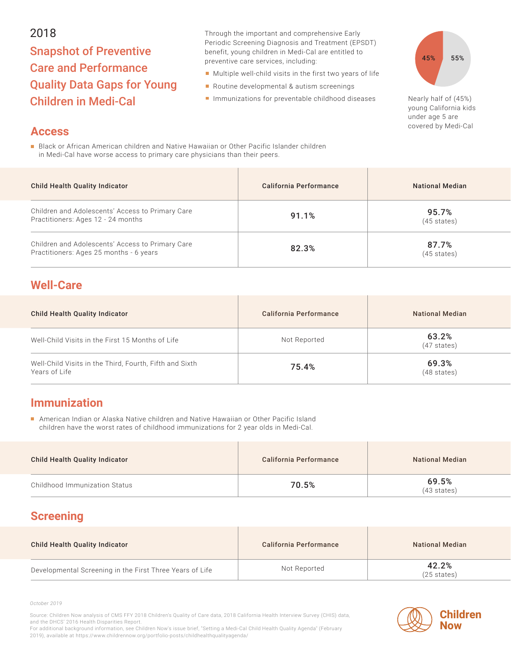#### 2018

# Snapshot of Preventive Care and Performance Quality Data Gaps for Young Children in Medi-Cal

Through the important and comprehensive Early Periodic Screening Diagnosis and Treatment (EPSDT) benefit, young children in Medi-Cal are entitled to preventive care services, including:

- Multiple well-child visits in the first two years of life
- Routine developmental & autism screenings
- Immunizations for preventable childhood diseases Nearly half of (45%)



young California kids under age 5 are covered by Medi-Cal

#### **Access**

**Black or African American children and Native Hawaiian or Other Pacific Islander children** in Medi-Cal have worse access to primary care physicians than their peers.

| <b>Child Health Quality Indicator</b>                                                       | California Performance | <b>National Median</b>         |
|---------------------------------------------------------------------------------------------|------------------------|--------------------------------|
| Children and Adolescents' Access to Primary Care<br>Practitioners: Ages 12 - 24 months      | 91.1%                  | 95.7%<br>$(45 \text{ states})$ |
| Children and Adolescents' Access to Primary Care<br>Practitioners: Ages 25 months - 6 years | 82.3%                  | 87.7%<br>$(45 \text{ states})$ |

### **Well-Care**

| <b>Child Health Quality Indicator</b>                                    | California Performance | National Median                |
|--------------------------------------------------------------------------|------------------------|--------------------------------|
| Well-Child Visits in the First 15 Months of Life                         | Not Reported           | 63.2%<br>$(47 \text{ states})$ |
| Well-Child Visits in the Third, Fourth, Fifth and Sixth<br>Years of Life | 75.4%                  | 69.3%<br>$(48 \text{ states})$ |

## **Immunization**

American Indian or Alaska Native children and Native Hawaiian or Other Pacific Island children have the worst rates of childhood immunizations for 2 year olds in Medi-Cal.

| <b>Child Health Quality Indicator</b> | California Performance | <b>National Median</b>         |
|---------------------------------------|------------------------|--------------------------------|
| Childhood Immunization Status         | 70.5%                  | 69.5%<br>$(43 \text{ states})$ |

# **Screening**

| <b>Child Health Quality Indicator</b>                    | California Performance | <b>National Median</b>         |
|----------------------------------------------------------|------------------------|--------------------------------|
| Developmental Screening in the First Three Years of Life | Not Reported           | 42.2%<br>$(25 \text{ states})$ |

*October 2019*

Source: Children Now analysis of CMS FFY 2018 Children's Quality of Care data, 2018 California Health Interview Survey (CHIS) data, and the DHCS' 2016 Health Disparities Report.

**Children Now**

For additional background information, see Children Now's issue brief, "Setting a Medi-Cal Child Health Quality Agenda" (February 2019), available at https://www.childrennow.org/portfolio-posts/childhealthqualityagenda/